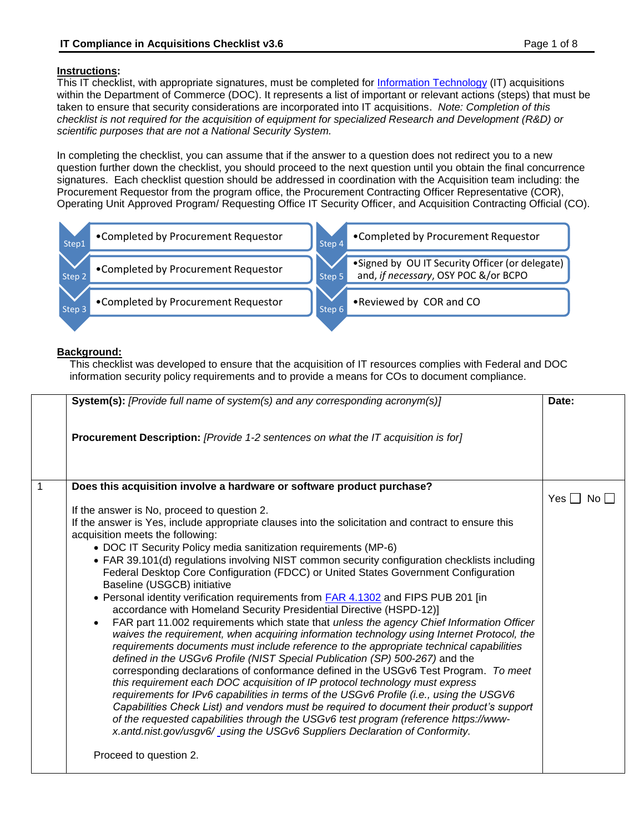# **Instructions:**

<span id="page-0-0"></span>This IT checklist, with appropriate signatures, must be completed for [Information Technology](#page-6-0) (IT) acquisitions within the Department of Commerce (DOC). It represents a list of important or relevant actions (steps) that must be taken to ensure that security considerations are incorporated into IT acquisitions. *Note: Completion of this checklist is not required for the acquisition of equipment for specialized Research and Development (R&D) or scientific purposes that are not a National Security System.*

In completing the checklist, you can assume that if the answer to a question does not redirect you to a new question further down the checklist, you should proceed to the next question until you obtain the final concurrence signatures. Each checklist question should be addressed in coordination with the Acquisition team including: the Procurement Requestor from the program office, the Procurement Contracting Officer Representative (COR), Operating Unit Approved Program/ Requesting Office IT Security Officer, and Acquisition Contracting Official (CO).



### **Background:**

This checklist was developed to ensure that the acquisition of IT resources complies with Federal and DOC information security policy requirements and to provide a means for COs to document compliance.

|   | <b>System(s):</b> [Provide full name of system(s) and any corresponding acronym(s)]                                                                                                                                                                                                                                                                                                                                                                        | Date:                |
|---|------------------------------------------------------------------------------------------------------------------------------------------------------------------------------------------------------------------------------------------------------------------------------------------------------------------------------------------------------------------------------------------------------------------------------------------------------------|----------------------|
|   | <b>Procurement Description:</b> [Provide 1-2 sentences on what the IT acquisition is for]                                                                                                                                                                                                                                                                                                                                                                  |                      |
| 1 | Does this acquisition involve a hardware or software product purchase?                                                                                                                                                                                                                                                                                                                                                                                     | Yes $\Box$ No $\Box$ |
|   | If the answer is No, proceed to question 2.                                                                                                                                                                                                                                                                                                                                                                                                                |                      |
|   | If the answer is Yes, include appropriate clauses into the solicitation and contract to ensure this<br>acquisition meets the following:                                                                                                                                                                                                                                                                                                                    |                      |
|   | • DOC IT Security Policy media sanitization requirements (MP-6)                                                                                                                                                                                                                                                                                                                                                                                            |                      |
|   | • FAR 39.101(d) regulations involving NIST common security configuration checklists including<br>Federal Desktop Core Configuration (FDCC) or United States Government Configuration<br>Baseline (USGCB) initiative                                                                                                                                                                                                                                        |                      |
|   | • Personal identity verification requirements from <b>FAR 4.1302</b> and FIPS PUB 201 [in<br>accordance with Homeland Security Presidential Directive (HSPD-12)]                                                                                                                                                                                                                                                                                           |                      |
|   | FAR part 11.002 requirements which state that unless the agency Chief Information Officer<br>waives the requirement, when acquiring information technology using Internet Protocol, the<br>requirements documents must include reference to the appropriate technical capabilities<br>defined in the USGv6 Profile (NIST Special Publication (SP) 500-267) and the<br>corresponding declarations of conformance defined in the USGv6 Test Program. To meet |                      |
|   | this requirement each DOC acquisition of IP protocol technology must express<br>requirements for IPv6 capabilities in terms of the USGv6 Profile (i.e., using the USGV6<br>Capabilities Check List) and vendors must be required to document their product's support<br>of the requested capabilities through the USGv6 test program (reference https://www-                                                                                               |                      |
|   | x.antd.nist.gov/usgv6/_using the USGv6 Suppliers Declaration of Conformity.<br>Proceed to question 2.                                                                                                                                                                                                                                                                                                                                                      |                      |
|   |                                                                                                                                                                                                                                                                                                                                                                                                                                                            |                      |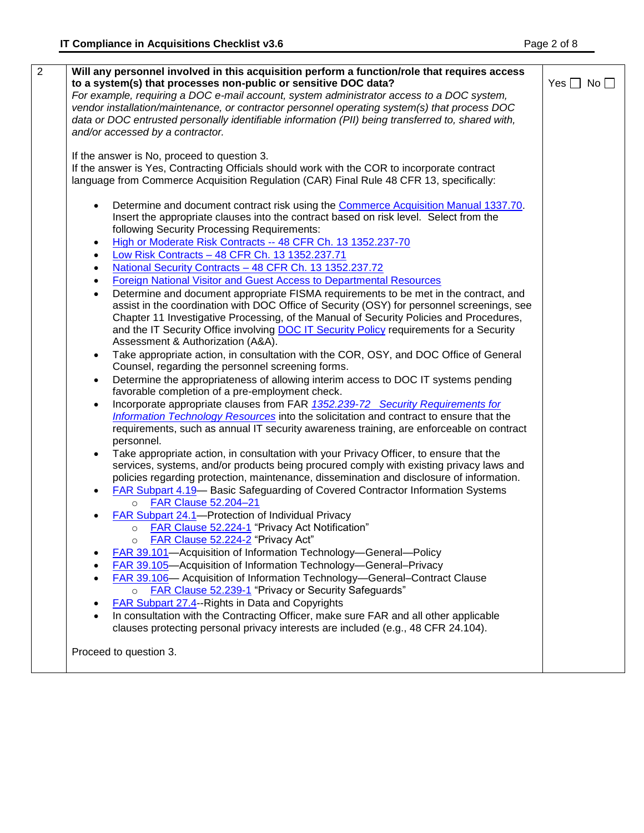| Will any personnel involved in this acquisition perform a function/role that requires access<br>to a system(s) that processes non-public or sensitive DOC data? | Yes $\Box$ No $\Box$ |
|-----------------------------------------------------------------------------------------------------------------------------------------------------------------|----------------------|
| For example, requiring a DOC e-mail account, system administrator access to a DOC system,                                                                       |                      |
| vendor installation/maintenance, or contractor personnel operating system(s) that process DOC                                                                   |                      |
| data or DOC entrusted personally identifiable information (PII) being transferred to, shared with,                                                              |                      |
| and/or accessed by a contractor.                                                                                                                                |                      |
| If the answer is No, proceed to question 3.                                                                                                                     |                      |
| If the answer is Yes, Contracting Officials should work with the COR to incorporate contract                                                                    |                      |
| language from Commerce Acquisition Regulation (CAR) Final Rule 48 CFR 13, specifically:                                                                         |                      |
| Determine and document contract risk using the Commerce Acquisition Manual 1337.70.                                                                             |                      |
| Insert the appropriate clauses into the contract based on risk level. Select from the                                                                           |                      |
| following Security Processing Requirements:                                                                                                                     |                      |
| High or Moderate Risk Contracts -- 48 CFR Ch. 13 1352.237-70                                                                                                    |                      |
| Low Risk Contracts - 48 CFR Ch. 13 1352.237.71<br>$\bullet$                                                                                                     |                      |
| National Security Contracts - 48 CFR Ch. 13 1352.237.72<br>$\bullet$                                                                                            |                      |
| Foreign National Visitor and Guest Access to Departmental Resources<br>$\bullet$                                                                                |                      |
| Determine and document appropriate FISMA requirements to be met in the contract, and<br>$\bullet$                                                               |                      |
| assist in the coordination with DOC Office of Security (OSY) for personnel screenings, see                                                                      |                      |
| Chapter 11 Investigative Processing, of the Manual of Security Policies and Procedures,                                                                         |                      |
| and the IT Security Office involving DOC IT Security Policy requirements for a Security                                                                         |                      |
| Assessment & Authorization (A&A).                                                                                                                               |                      |
| Take appropriate action, in consultation with the COR, OSY, and DOC Office of General<br>$\bullet$                                                              |                      |
| Counsel, regarding the personnel screening forms.                                                                                                               |                      |
| Determine the appropriateness of allowing interim access to DOC IT systems pending<br>$\bullet$                                                                 |                      |
| favorable completion of a pre-employment check.                                                                                                                 |                      |
| Incorporate appropriate clauses from FAR 1352.239-72 Security Requirements for                                                                                  |                      |
| Information Technology Resources into the solicitation and contract to ensure that the                                                                          |                      |
| requirements, such as annual IT security awareness training, are enforceable on contract<br>personnel.                                                          |                      |
| Take appropriate action, in consultation with your Privacy Officer, to ensure that the                                                                          |                      |
| services, systems, and/or products being procured comply with existing privacy laws and                                                                         |                      |
| policies regarding protection, maintenance, dissemination and disclosure of information.                                                                        |                      |
| <b>FAR Subpart 4.19</b> - Basic Safeguarding of Covered Contractor Information Systems                                                                          |                      |
| o FAR Clause 52.204-21                                                                                                                                          |                      |
| FAR Subpart 24.1-Protection of Individual Privacy                                                                                                               |                      |
| <b>FAR Clause 52.224-1 "Privacy Act Notification"</b>                                                                                                           |                      |
| FAR Clause 52.224-2 "Privacy Act"<br>$\circ$                                                                                                                    |                      |
| FAR 39.101-Acquisition of Information Technology-General-Policy                                                                                                 |                      |
| FAR 39.105-Acquisition of Information Technology-General-Privacy                                                                                                |                      |
| FAR 39.106- Acquisition of Information Technology-General-Contract Clause                                                                                       |                      |
| <b>FAR Clause 52.239-1</b> "Privacy or Security Safeguards"<br>$\circ$                                                                                          |                      |
| <b>FAR Subpart 27.4-Rights in Data and Copyrights</b>                                                                                                           |                      |
| In consultation with the Contracting Officer, make sure FAR and all other applicable                                                                            |                      |
| clauses protecting personal privacy interests are included (e.g., 48 CFR 24.104).                                                                               |                      |
| Proceed to question 3.                                                                                                                                          |                      |
|                                                                                                                                                                 |                      |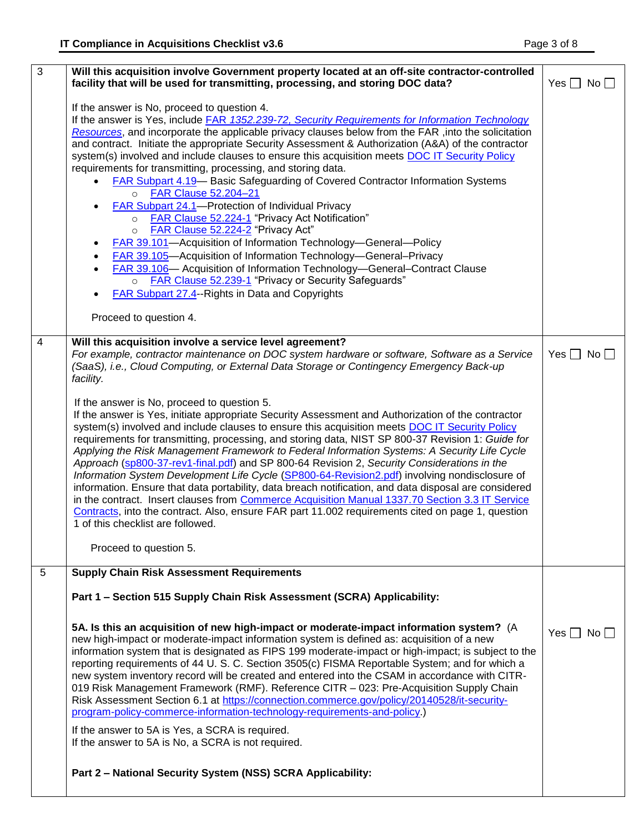| $\overline{3}$ | Will this acquisition involve Government property located at an off-site contractor-controlled                                                                                                                                                                                                   |                      |  |  |  |
|----------------|--------------------------------------------------------------------------------------------------------------------------------------------------------------------------------------------------------------------------------------------------------------------------------------------------|----------------------|--|--|--|
|                | facility that will be used for transmitting, processing, and storing DOC data?                                                                                                                                                                                                                   | Yes $\Box$ No $\Box$ |  |  |  |
|                | If the answer is No, proceed to question 4.                                                                                                                                                                                                                                                      |                      |  |  |  |
|                | If the answer is Yes, include FAR 1352.239-72, Security Requirements for Information Technology                                                                                                                                                                                                  |                      |  |  |  |
|                | Resources, and incorporate the applicable privacy clauses below from the FAR, into the solicitation                                                                                                                                                                                              |                      |  |  |  |
|                | and contract. Initiate the appropriate Security Assessment & Authorization (A&A) of the contractor                                                                                                                                                                                               |                      |  |  |  |
|                | system(s) involved and include clauses to ensure this acquisition meets DOC IT Security Policy                                                                                                                                                                                                   |                      |  |  |  |
|                | requirements for transmitting, processing, and storing data.                                                                                                                                                                                                                                     |                      |  |  |  |
|                | <b>FAR Subpart 4.19– Basic Safeguarding of Covered Contractor Information Systems</b>                                                                                                                                                                                                            |                      |  |  |  |
|                | o FAR Clause 52.204-21<br>FAR Subpart 24.1-Protection of Individual Privacy                                                                                                                                                                                                                      |                      |  |  |  |
|                | <b>FAR Clause 52.224-1 "Privacy Act Notification"</b><br>$\circ$                                                                                                                                                                                                                                 |                      |  |  |  |
|                | FAR Clause 52.224-2 "Privacy Act"<br>$\circ$                                                                                                                                                                                                                                                     |                      |  |  |  |
|                | <b>FAR 39.101</b> -Acquisition of Information Technology-General-Policy                                                                                                                                                                                                                          |                      |  |  |  |
|                | FAR 39.105-Acquisition of Information Technology-General-Privacy                                                                                                                                                                                                                                 |                      |  |  |  |
|                | FAR 39.106- Acquisition of Information Technology-General-Contract Clause                                                                                                                                                                                                                        |                      |  |  |  |
|                | <b>FAR Clause 52.239-1 "Privacy or Security Safeguards"</b><br>$\circ$                                                                                                                                                                                                                           |                      |  |  |  |
|                | FAR Subpart 27.4--Rights in Data and Copyrights                                                                                                                                                                                                                                                  |                      |  |  |  |
|                |                                                                                                                                                                                                                                                                                                  |                      |  |  |  |
|                | Proceed to question 4.                                                                                                                                                                                                                                                                           |                      |  |  |  |
| $\overline{4}$ | Will this acquisition involve a service level agreement?                                                                                                                                                                                                                                         |                      |  |  |  |
|                | For example, contractor maintenance on DOC system hardware or software, Software as a Service                                                                                                                                                                                                    | Yes $\Box$ No $\Box$ |  |  |  |
|                | (SaaS), i.e., Cloud Computing, or External Data Storage or Contingency Emergency Back-up                                                                                                                                                                                                         |                      |  |  |  |
|                | facility.                                                                                                                                                                                                                                                                                        |                      |  |  |  |
|                | If the answer is No, proceed to question 5.                                                                                                                                                                                                                                                      |                      |  |  |  |
|                | If the answer is Yes, initiate appropriate Security Assessment and Authorization of the contractor                                                                                                                                                                                               |                      |  |  |  |
|                | system(s) involved and include clauses to ensure this acquisition meets DOC IT Security Policy                                                                                                                                                                                                   |                      |  |  |  |
|                | requirements for transmitting, processing, and storing data, NIST SP 800-37 Revision 1: Guide for<br>Applying the Risk Management Framework to Federal Information Systems: A Security Life Cycle<br>Approach (sp800-37-rev1-final.pdf) and SP 800-64 Revision 2, Security Considerations in the |                      |  |  |  |
|                |                                                                                                                                                                                                                                                                                                  |                      |  |  |  |
|                |                                                                                                                                                                                                                                                                                                  |                      |  |  |  |
|                | Information System Development Life Cycle (SP800-64-Revision2.pdf) involving nondisclosure of<br>information. Ensure that data portability, data breach notification, and data disposal are considered                                                                                           |                      |  |  |  |
|                | in the contract. Insert clauses from Commerce Acquisition Manual 1337.70 Section 3.3 IT Service                                                                                                                                                                                                  |                      |  |  |  |
|                | Contracts, into the contract. Also, ensure FAR part 11.002 requirements cited on page 1, question                                                                                                                                                                                                |                      |  |  |  |
|                | 1 of this checklist are followed.                                                                                                                                                                                                                                                                |                      |  |  |  |
|                |                                                                                                                                                                                                                                                                                                  |                      |  |  |  |
|                | Proceed to question 5.                                                                                                                                                                                                                                                                           |                      |  |  |  |
| 5              | <b>Supply Chain Risk Assessment Requirements</b>                                                                                                                                                                                                                                                 |                      |  |  |  |
|                | Part 1 - Section 515 Supply Chain Risk Assessment (SCRA) Applicability:                                                                                                                                                                                                                          |                      |  |  |  |
|                |                                                                                                                                                                                                                                                                                                  |                      |  |  |  |
|                | 5A. Is this an acquisition of new high-impact or moderate-impact information system? (A                                                                                                                                                                                                          |                      |  |  |  |
|                | new high-impact or moderate-impact information system is defined as: acquisition of a new                                                                                                                                                                                                        | Yes $\Box$ No $\Box$ |  |  |  |
|                | information system that is designated as FIPS 199 moderate-impact or high-impact; is subject to the                                                                                                                                                                                              |                      |  |  |  |
|                | reporting requirements of 44 U.S.C. Section 3505(c) FISMA Reportable System; and for which a                                                                                                                                                                                                     |                      |  |  |  |
|                | new system inventory record will be created and entered into the CSAM in accordance with CITR-                                                                                                                                                                                                   |                      |  |  |  |
|                | 019 Risk Management Framework (RMF). Reference CITR - 023: Pre-Acquisition Supply Chain                                                                                                                                                                                                          |                      |  |  |  |
|                | Risk Assessment Section 6.1 at https://connection.commerce.gov/policy/20140528/it-security-<br>program-policy-commerce-information-technology-requirements-and-policy.)                                                                                                                          |                      |  |  |  |
|                |                                                                                                                                                                                                                                                                                                  |                      |  |  |  |
|                | If the answer to 5A is Yes, a SCRA is required.<br>If the answer to 5A is No, a SCRA is not required.                                                                                                                                                                                            |                      |  |  |  |
|                |                                                                                                                                                                                                                                                                                                  |                      |  |  |  |
|                | Part 2 - National Security System (NSS) SCRA Applicability:                                                                                                                                                                                                                                      |                      |  |  |  |
|                |                                                                                                                                                                                                                                                                                                  |                      |  |  |  |
|                |                                                                                                                                                                                                                                                                                                  |                      |  |  |  |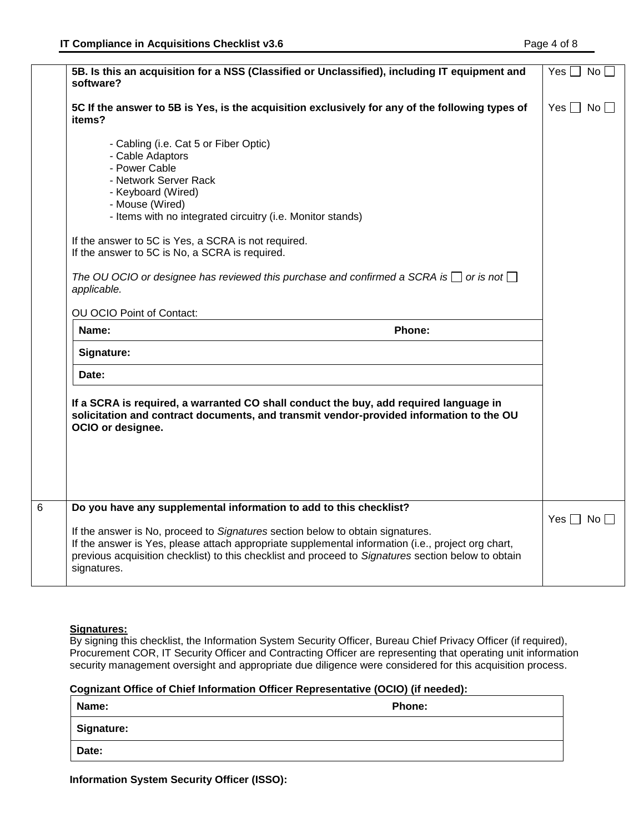| software?                 | 5B. Is this an acquisition for a NSS (Classified or Unclassified), including IT equipment and                                                                                    | Yes $\Box$ No        |
|---------------------------|----------------------------------------------------------------------------------------------------------------------------------------------------------------------------------|----------------------|
| items?                    | 5C If the answer to 5B is Yes, is the acquisition exclusively for any of the following types of                                                                                  | Yes $\Box$ No $\Box$ |
|                           | - Cabling (i.e. Cat 5 or Fiber Optic)                                                                                                                                            |                      |
| - Cable Adaptors          |                                                                                                                                                                                  |                      |
| - Power Cable             |                                                                                                                                                                                  |                      |
| - Keyboard (Wired)        | - Network Server Rack                                                                                                                                                            |                      |
| - Mouse (Wired)           |                                                                                                                                                                                  |                      |
|                           | - Items with no integrated circuitry (i.e. Monitor stands)                                                                                                                       |                      |
|                           | If the answer to 5C is Yes, a SCRA is not required.                                                                                                                              |                      |
|                           | If the answer to 5C is No, a SCRA is required.                                                                                                                                   |                      |
| applicable.               | The OU OCIO or designee has reviewed this purchase and confirmed a SCRA is $\Box$ or is not $\Box$                                                                               |                      |
| OU OCIO Point of Contact: |                                                                                                                                                                                  |                      |
|                           |                                                                                                                                                                                  |                      |
| Name:                     | Phone:                                                                                                                                                                           |                      |
| Signature:                |                                                                                                                                                                                  |                      |
| Date:                     |                                                                                                                                                                                  |                      |
| OCIO or designee.         | If a SCRA is required, a warranted CO shall conduct the buy, add required language in<br>solicitation and contract documents, and transmit vendor-provided information to the OU |                      |
|                           |                                                                                                                                                                                  |                      |
|                           | Do you have any supplemental information to add to this checklist?                                                                                                               | Yes $\Box$ No $\Box$ |

# **Signatures:**

By signing this checklist, the Information System Security Officer, Bureau Chief Privacy Officer (if required), Procurement COR, IT Security Officer and Contracting Officer are representing that operating unit information security management oversight and appropriate due diligence were considered for this acquisition process.

## **Cognizant Office of Chief Information Officer Representative (OCIO) (if needed):**

| Name:      | Phone: |
|------------|--------|
| Signature: |        |
| Date:      |        |

**Information System Security Officer (ISSO):**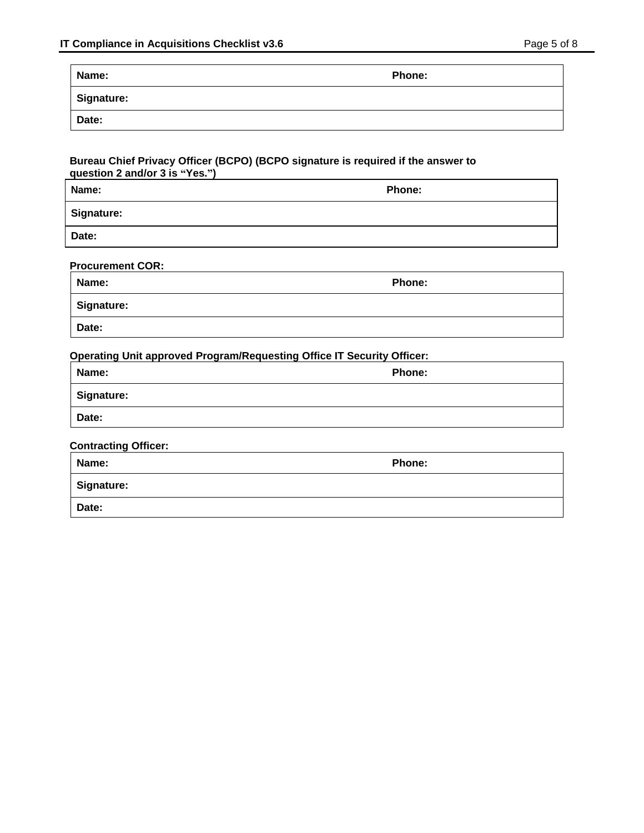| Name:      | <b>Phone:</b> |
|------------|---------------|
| Signature: |               |
| Date:      |               |

#### **Bureau Chief Privacy Officer (BCPO) (BCPO signature is required if the answer to question 2 and/or 3 is "Yes.")**

| Name:             | Phone: |
|-------------------|--------|
| <b>Signature:</b> |        |
| Date:             |        |

| <b>Procurement COR:</b> |  |
|-------------------------|--|
|                         |  |

| Name:      | <b>Phone:</b> |
|------------|---------------|
| Signature: |               |
| Date:      |               |

# **Operating Unit approved Program/Requesting Office IT Security Officer:**

| Name:      | <b>Phone:</b> |
|------------|---------------|
| Signature: |               |
| Date:      |               |

# **Contracting Officer:**

| Name:      | Phone: |
|------------|--------|
| Signature: |        |
| Date:      |        |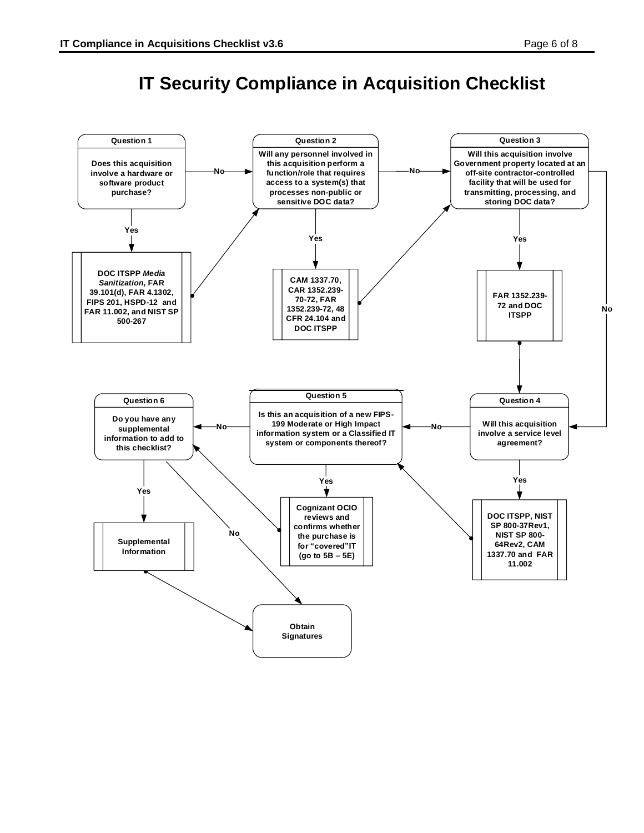# **IT Security Compliance in Acquisition Checklist**

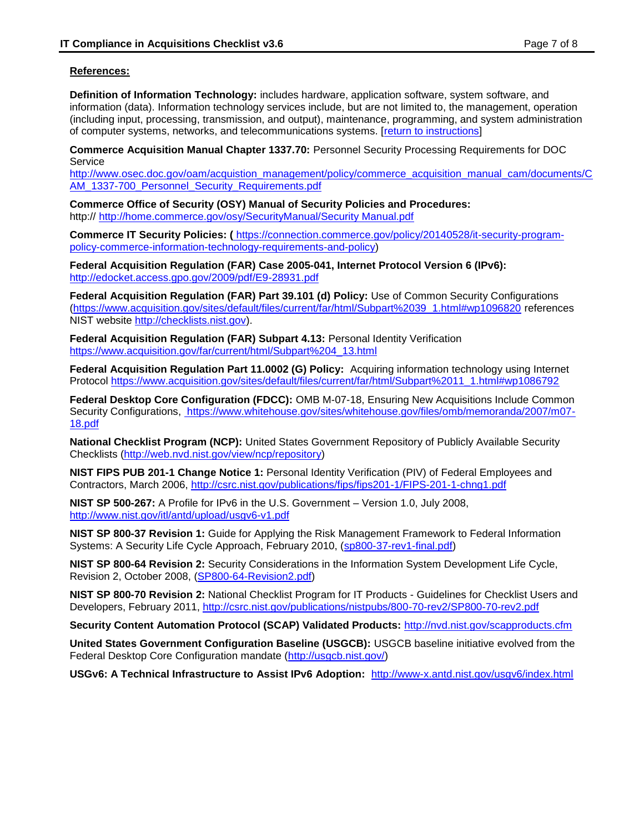# **References:**

<span id="page-6-0"></span>**Definition of Information Technology:** includes hardware, application software, system software, and information (data). Information technology services include, but are not limited to, the management, operation (including input, processing, transmission, and output), maintenance, programming, and system administration of computer systems, networks, and telecommunications systems. [\[return to instructions\]](#page-0-0)

**Commerce Acquisition Manual Chapter 1337.70:** Personnel Security Processing Requirements for DOC **Service** 

[http://www.osec.doc.gov/oam/acquistion\\_management/policy/commerce\\_acquisition\\_manual\\_cam/documents/C](http://www.osec.doc.gov/oam/acquistion_management/policy/commerce_acquisition_manual_cam/documents/CAM_1337-700_Personnel_Security_Requirements.pdf) [AM\\_1337-700\\_Personnel\\_Security\\_Requirements.pdf](http://www.osec.doc.gov/oam/acquistion_management/policy/commerce_acquisition_manual_cam/documents/CAM_1337-700_Personnel_Security_Requirements.pdf)

**Commerce Office of Security (OSY) Manual of Security Policies and Procedures:** http:// [http://home.commerce.gov/osy/SecurityManual/Security Manual.pdf](http://home.commerce.gov/osy/SecurityManual/Security%20Manual.pdf)

**Commerce IT Security Policies: (** [https://connection.commerce.gov/policy/20140528/it-security-program](https://connection.commerce.gov/policy/20140528/it-security-program-policy-commerce-information-technology-requirements-and-policy)[policy-commerce-information-technology-requirements-and-policy\)](https://connection.commerce.gov/policy/20140528/it-security-program-policy-commerce-information-technology-requirements-and-policy)

**Federal Acquisition Regulation (FAR) Case 2005-041, Internet Protocol Version 6 (IPv6):**  <http://edocket.access.gpo.gov/2009/pdf/E9-28931.pdf>

**Federal Acquisition Regulation (FAR) Part 39.101 (d) Policy:** Use of Common Security Configurations [\(https://www.acquisition.gov/sites/default/files/current/far/html/Subpart%2039\\_1.html#wp1096820](https://www.acquisition.gov/sites/default/files/current/far/html/Subpart%2039_1.html#wp1096820) references NIST website [http://checklists.nist.gov\)](http://checklists.nist.gov/).

**Federal Acquisition Regulation (FAR) Subpart 4.13:** Personal Identity Verification [https://www.acquisition.gov/far/current/html/Subpart%204\\_13.html](https://www.acquisition.gov/far/current/html/Subpart%204_13.html)

**Federal Acquisition Regulation Part 11.0002 (G) Policy:** Acquiring information technology using Internet Protocol [https://www.acquisition.gov/sites/default/files/current/far/html/Subpart%2011\\_1.html#wp1086792](https://www.acquisition.gov/sites/default/files/current/far/html/Subpart%2011_1.html#wp1086792)

**Federal Desktop Core Configuration (FDCC):** OMB M-07-18, Ensuring New Acquisitions Include Common Security Configurations, [https://www.whitehouse.gov/sites/whitehouse.gov/files/omb/memoranda/2007/m07-](https://www.whitehouse.gov/sites/whitehouse.gov/files/omb/memoranda/2007/m07-18.pdf) [18.pdf](https://www.whitehouse.gov/sites/whitehouse.gov/files/omb/memoranda/2007/m07-18.pdf)

**National Checklist Program (NCP):** United States Government Repository of Publicly Available Security Checklists [\(http://web.nvd.nist.gov/view/ncp/repository\)](http://web.nvd.nist.gov/view/ncp/repository)

**NIST FIPS PUB 201-1 Change Notice 1:** Personal Identity Verification (PIV) of Federal Employees and Contractors, March 2006, <http://csrc.nist.gov/publications/fips/fips201-1/FIPS-201-1-chng1.pdf>

**NIST SP 500-267:** A Profile for IPv6 in the U.S. Government – Version 1.0, July 2008, <http://www.nist.gov/itl/antd/upload/usgv6-v1.pdf>

**NIST SP 800-37 Revision 1:** Guide for Applying the Risk Management Framework to Federal Information Systems: A Security Life Cycle Approach, February 2010, [\(sp800-37-rev1-final.pdf\)](http://csrc.nist.gov/publications/nistpubs/800-37-rev1/sp800-37-rev1-final.pdf)

**NIST SP 800-64 Revision 2:** Security Considerations in the Information System Development Life Cycle, Revision 2, October 2008, [\(SP800-64-Revision2.pdf\)](http://csrc.nist.gov/publications/nistpubs/800-64-Rev2/SP800-64-Revision2.pdf)

**NIST SP 800-70 Revision 2:** National Checklist Program for IT Products - Guidelines for Checklist Users and Developers, February 2011,<http://csrc.nist.gov/publications/nistpubs/800-70-rev2/SP800-70-rev2.pdf>

**Security Content Automation Protocol (SCAP) Validated Products:** <http://nvd.nist.gov/scapproducts.cfm>

**United States Government Configuration Baseline (USGCB):** USGCB baseline initiative evolved from the Federal Desktop Core Configuration mandate [\(http://usgcb.nist.gov/\)](http://usgcb.nist.gov/)

**USGv6: A Technical Infrastructure to Assist IPv6 Adoption:** <http://www-x.antd.nist.gov/usgv6/index.html>